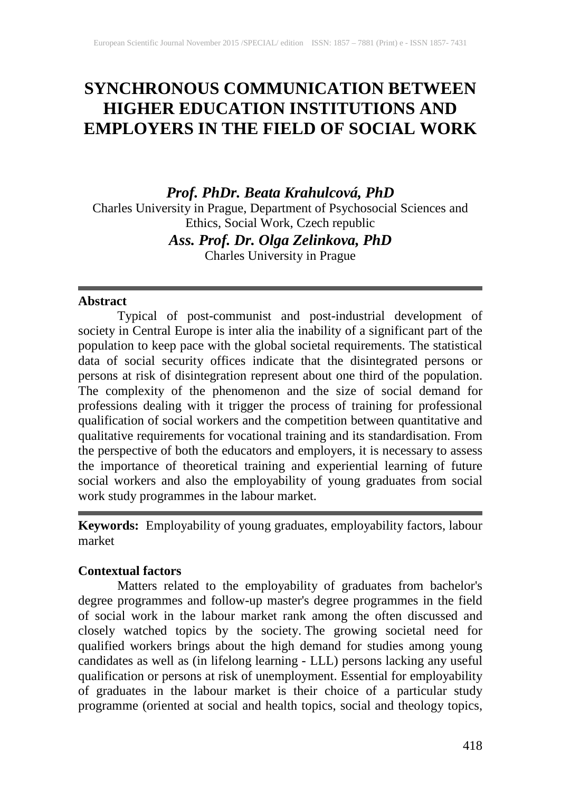# **SYNCHRONOUS COMMUNICATION BETWEEN HIGHER EDUCATION INSTITUTIONS AND EMPLOYERS IN THE FIELD OF SOCIAL WORK**

*Prof. PhDr. Beata Krahulcová, PhD* Charles University in Prague, Department of Psychosocial Sciences and Ethics, Social Work, Czech republic *Ass. Prof. Dr. Olga Zelinkova, PhD* Charles University in Prague

# **Abstract**

Typical of post-communist and post-industrial development of society in Central Europe is inter alia the inability of a significant part of the population to keep pace with the global societal requirements. The statistical data of social security offices indicate that the disintegrated persons or persons at risk of disintegration represent about one third of the population. The complexity of the phenomenon and the size of social demand for professions dealing with it trigger the process of training for professional qualification of social workers and the competition between quantitative and qualitative requirements for vocational training and its standardisation. From the perspective of both the educators and employers, it is necessary to assess the importance of theoretical training and experiential learning of future social workers and also the employability of young graduates from social work study programmes in the labour market.

**Keywords:** Employability of young graduates, employability factors, labour market

# **Contextual factors**

Matters related to the employability of graduates from bachelor's degree programmes and follow-up master's degree programmes in the field of social work in the labour market rank among the often discussed and closely watched topics by the society. The growing societal need for qualified workers brings about the high demand for studies among young candidates as well as (in lifelong learning - LLL) persons lacking any useful qualification or persons at risk of unemployment. Essential for employability of graduates in the labour market is their choice of a particular study programme (oriented at social and health topics, social and theology topics,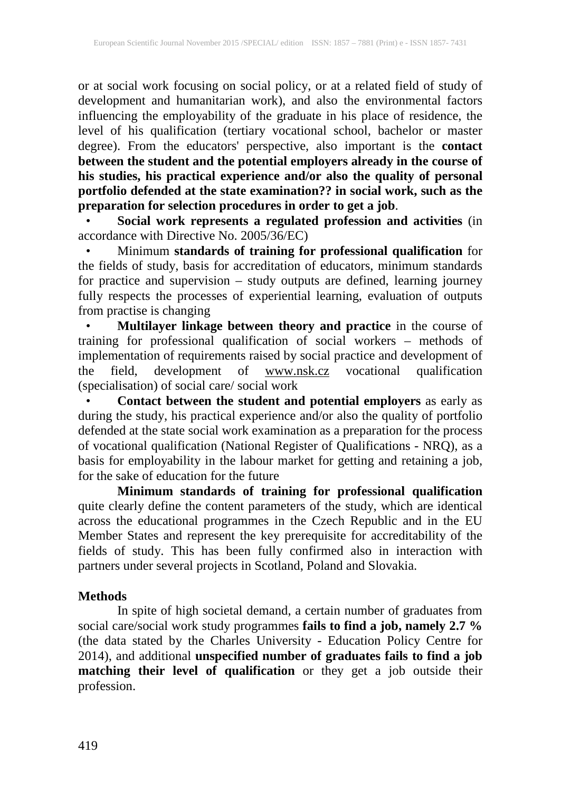or at social work focusing on social policy, or at a related field of study of development and humanitarian work), and also the environmental factors influencing the employability of the graduate in his place of residence, the level of his qualification (tertiary vocational school, bachelor or master degree). From the educators' perspective, also important is the **contact between the student and the potential employers already in the course of his studies, his practical experience and/or also the quality of personal portfolio defended at the state examination?? in social work, such as the preparation for selection procedures in order to get a job**.

• **Social work represents a regulated profession and activities** (in accordance with Directive No. 2005/36/EC)

• Minimum **standards of training for professional qualification** for the fields of study, basis for accreditation of educators, minimum standards for practice and supervision – study outputs are defined, learning journey fully respects the processes of experiential learning, evaluation of outputs from practise is changing

• **Multilayer linkage between theory and practice** in the course of training for professional qualification of social workers – methods of implementation of requirements raised by social practice and development of the field, development of **[www.nsk.cz](http://www.nsk.cz/)** vocational qualification (specialisation) of social care/ social work

• **Contact between the student and potential employers** as early as during the study, his practical experience and/or also the quality of portfolio defended at the state social work examination as a preparation for the process of vocational qualification (National Register of Qualifications - NRQ), as a basis for employability in the labour market for getting and retaining a job, for the sake of education for the future

**Minimum standards of training for professional qualification** quite clearly define the content parameters of the study, which are identical across the educational programmes in the Czech Republic and in the EU Member States and represent the key prerequisite for accreditability of the fields of study. This has been fully confirmed also in interaction with partners under several projects in Scotland, Poland and Slovakia.

# **Methods**

In spite of high societal demand, a certain number of graduates from social care/social work study programmes **fails to find a job, namely 2.7 %** (the data stated by the Charles University - Education Policy Centre for 2014), and additional **unspecified number of graduates fails to find a job matching their level of qualification** or they get a job outside their profession.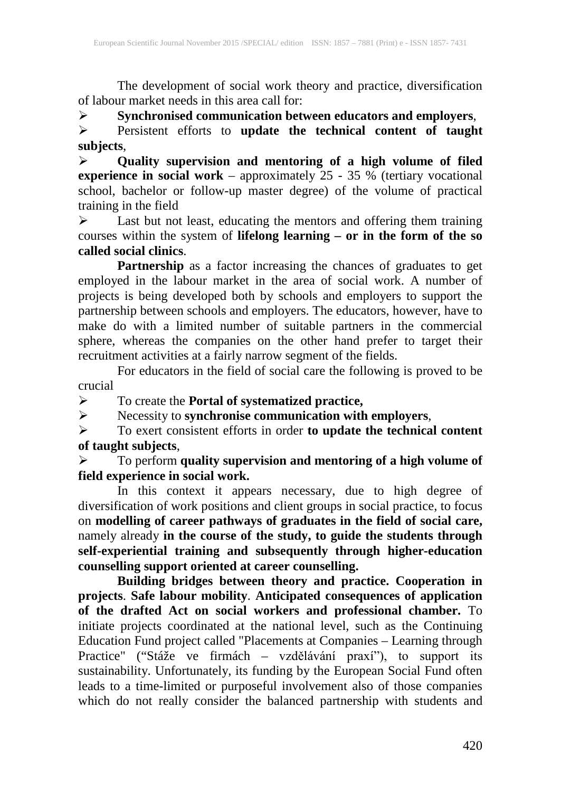The development of social work theory and practice, diversification of labour market needs in this area call for:

**Synchronised communication between educators and employers**,

 Persistent efforts to **update the technical content of taught subjects**,

 **Quality supervision and mentoring of a high volume of filed experience in social work** – approximately 25 - 35 % (tertiary vocational school, bachelor or follow-up master degree) of the volume of practical training in the field

 $\triangleright$  Last but not least, educating the mentors and offering them training courses within the system of **lifelong learning – or in the form of the so called social clinics**.

Partnership as a factor increasing the chances of graduates to get employed in the labour market in the area of social work. A number of projects is being developed both by schools and employers to support the partnership between schools and employers. The educators, however, have to make do with a limited number of suitable partners in the commercial sphere, whereas the companies on the other hand prefer to target their recruitment activities at a fairly narrow segment of the fields.

For educators in the field of social care the following is proved to be crucial

To create the **Portal of systematized practice,** 

Necessity to **synchronise communication with employers**,

 To exert consistent efforts in order **to update the technical content of taught subjects**,

 To perform **quality supervision and mentoring of a high volume of field experience in social work.**

In this context it appears necessary, due to high degree of diversification of work positions and client groups in social practice, to focus on **modelling of career pathways of graduates in the field of social care,**  namely already **in the course of the study, to guide the students through self-experiential training and subsequently through higher-education counselling support oriented at career counselling.**

**Building bridges between theory and practice. Cooperation in projects**. **Safe labour mobility**. **Anticipated consequences of application of the drafted Act on social workers and professional chamber.** To initiate projects coordinated at the national level, such as the Continuing Education Fund project called "Placements at Companies – Learning through Practice" ("Stáže ve firmách – vzdělávání praxí"), to support its sustainability. Unfortunately, its funding by the European Social Fund often leads to a time-limited or purposeful involvement also of those companies which do not really consider the balanced partnership with students and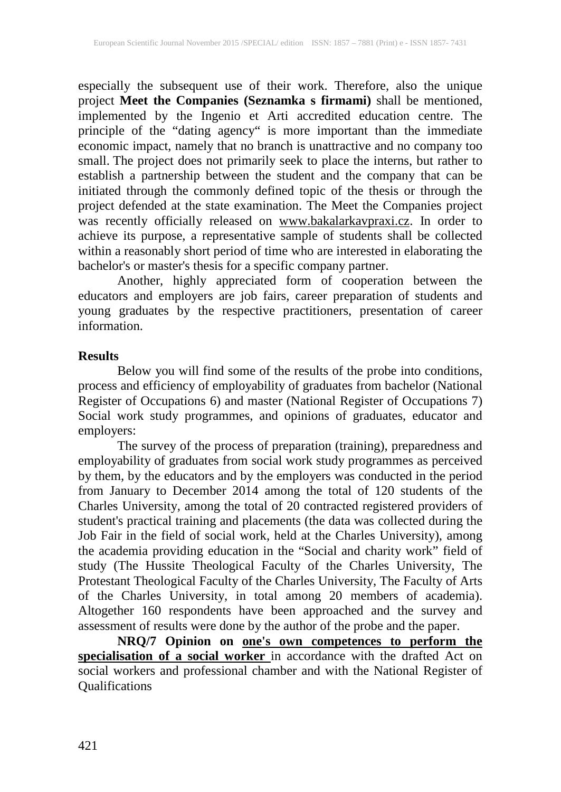especially the subsequent use of their work. Therefore, also the unique project **Meet the Companies (Seznamka s firmami)** shall be mentioned, implemented by the Ingenio et Arti accredited education centre. The principle of the "dating agency" is more important than the immediate economic impact, namely that no branch is unattractive and no company too small. The project does not primarily seek to place the interns, but rather to establish a partnership between the student and the company that can be initiated through the commonly defined topic of the thesis or through the project defended at the state examination. The Meet the Companies project was recently officially released on [www.bakalarkavpraxi.cz.](http://www.bakalarkavpraxi.cz/) In order to achieve its purpose, a representative sample of students shall be collected within a reasonably short period of time who are interested in elaborating the bachelor's or master's thesis for a specific company partner.

Another, highly appreciated form of cooperation between the educators and employers are job fairs, career preparation of students and young graduates by the respective practitioners, presentation of career information.

#### **Results**

Below you will find some of the results of the probe into conditions, process and efficiency of employability of graduates from bachelor (National Register of Occupations 6) and master (National Register of Occupations 7) Social work study programmes, and opinions of graduates, educator and employers:

The survey of the process of preparation (training), preparedness and employability of graduates from social work study programmes as perceived by them, by the educators and by the employers was conducted in the period from January to December 2014 among the total of 120 students of the Charles University, among the total of 20 contracted registered providers of student's practical training and placements (the data was collected during the Job Fair in the field of social work, held at the Charles University), among the academia providing education in the "Social and charity work" field of study (The Hussite Theological Faculty of the Charles University, The Protestant Theological Faculty of the Charles University, The Faculty of Arts of the Charles University, in total among 20 members of academia). Altogether 160 respondents have been approached and the survey and assessment of results were done by the author of the probe and the paper.

**NRQ/7 Opinion on one's own competences to perform the specialisation of a social worker** in accordance with the drafted Act on social workers and professional chamber and with the National Register of Qualifications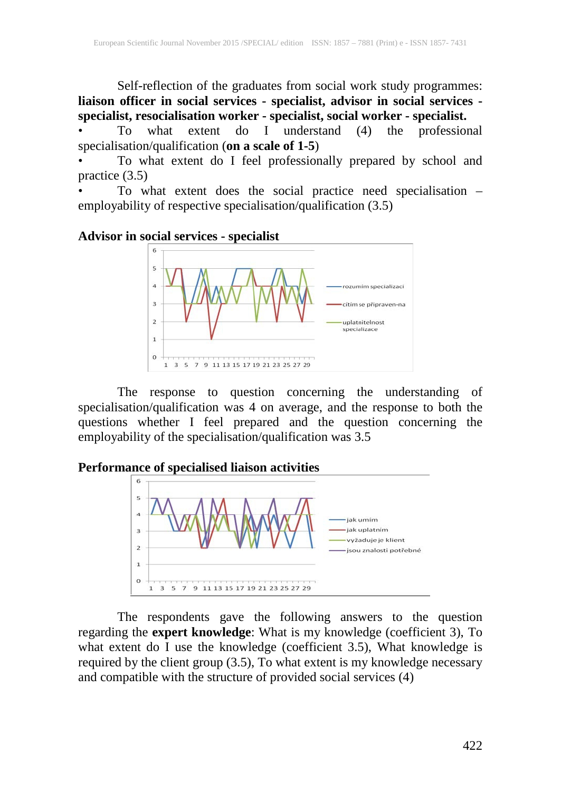Self-reflection of the graduates from social work study programmes: **liaison officer in social services - specialist, advisor in social services specialist, resocialisation worker - specialist, social worker - specialist.**

To what extent do I understand  $(4)$  the professional specialisation/qualification (**on a scale of 1-5**)

• To what extent do I feel professionally prepared by school and practice (3.5)

To what extent does the social practice need specialisation – employability of respective specialisation/qualification (3.5)





The response to question concerning the understanding of specialisation/qualification was 4 on average, and the response to both the questions whether I feel prepared and the question concerning the employability of the specialisation/qualification was 3.5

**Performance of specialised liaison activities**



The respondents gave the following answers to the question regarding the **expert knowledge**: What is my knowledge (coefficient 3), To what extent do I use the knowledge (coefficient 3.5), What knowledge is required by the client group (3.5), To what extent is my knowledge necessary and compatible with the structure of provided social services (4)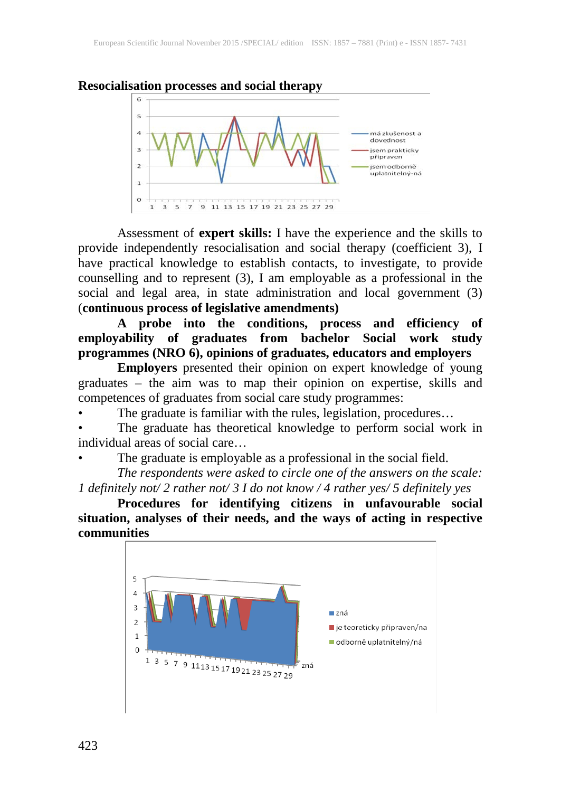

Assessment of **expert skills:** I have the experience and the skills to provide independently resocialisation and social therapy (coefficient 3), I have practical knowledge to establish contacts, to investigate, to provide counselling and to represent (3), I am employable as a professional in the social and legal area, in state administration and local government (3) (**continuous process of legislative amendments)**

**A probe into the conditions, process and efficiency of employability of graduates from bachelor Social work study programmes (NRO 6), opinions of graduates, educators and employers**

**Employers** presented their opinion on expert knowledge of young graduates – the aim was to map their opinion on expertise, skills and competences of graduates from social care study programmes:

The graduate is familiar with the rules, legislation, procedures...

The graduate has theoretical knowledge to perform social work in individual areas of social care…

The graduate is employable as a professional in the social field.

*The respondents were asked to circle one of the answers on the scale: 1 definitely not/ 2 rather not/ 3 I do not know / 4 rather yes/ 5 definitely yes*

**Procedures for identifying citizens in unfavourable social situation, analyses of their needs, and the ways of acting in respective communities**

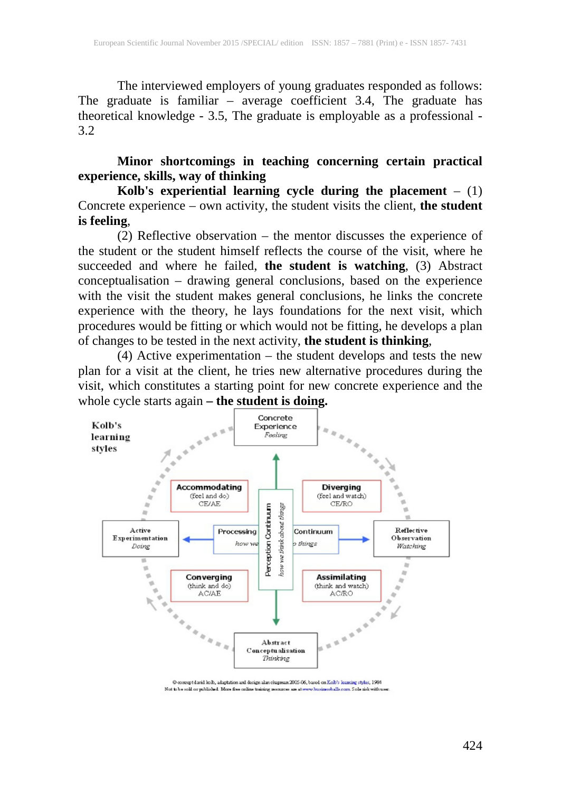The interviewed employers of young graduates responded as follows: The graduate is familiar – average coefficient 3.4, The graduate has theoretical knowledge - 3.5, The graduate is employable as a professional - 3.2

### **Minor shortcomings in teaching concerning certain practical experience, skills, way of thinking**

**Kolb's experiential learning cycle during the placement** – (1) Concrete experience – own activity, the student visits the client, **the student is feeling**,

(2) Reflective observation – the mentor discusses the experience of the student or the student himself reflects the course of the visit, where he succeeded and where he failed, **the student is watching**, (3) Abstract conceptualisation – drawing general conclusions, based on the experience with the visit the student makes general conclusions, he links the concrete experience with the theory, he lays foundations for the next visit, which procedures would be fitting or which would not be fitting, he develops a plan of changes to be tested in the next activity, **the student is thinking**,

(4) Active experimentation – the student develops and tests the new plan for a visit at the client, he tries new alternative procedures during the visit, which constitutes a starting point for new concrete experience and the whole cycle starts again **– the student is doing.**



<sup>@</sup> corport david level, adaptation and decime also obanyon 2005-06, based on Kob's leaveing styles, 1984. Not to be sold or published. More free online training resources are a ww.businessballs.com. Sole risk with use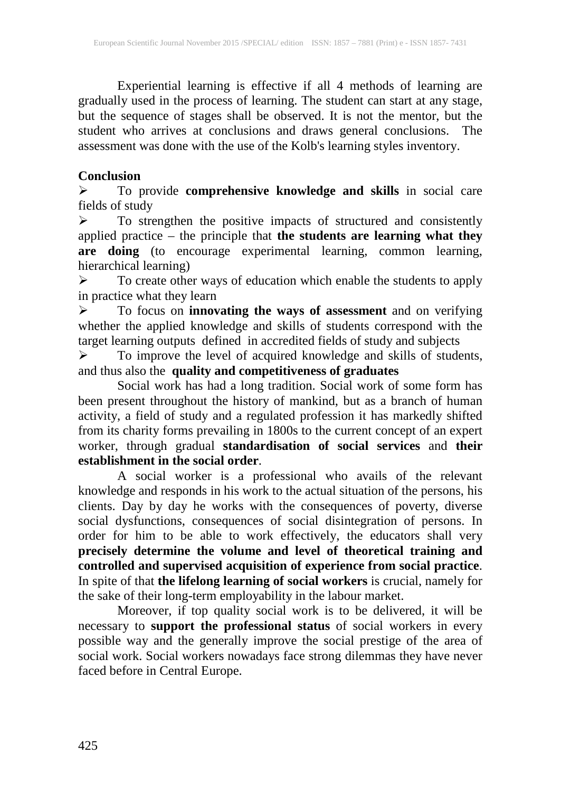Experiential learning is effective if all 4 methods of learning are gradually used in the process of learning. The student can start at any stage, but the sequence of stages shall be observed. It is not the mentor, but the student who arrives at conclusions and draws general conclusions. The assessment was done with the use of the Kolb's learning styles inventory.

### **Conclusion**

 To provide **comprehensive knowledge and skills** in social care fields of study

 $\triangleright$  To strengthen the positive impacts of structured and consistently applied practice – the principle that **the students are learning what they are doing** (to encourage experimental learning, common learning, hierarchical learning)

 $\triangleright$  To create other ways of education which enable the students to apply in practice what they learn

 To focus on **innovating the ways of assessment** and on verifying whether the applied knowledge and skills of students correspond with the target learning outputs defined in accredited fields of study and subjects

 $\triangleright$  To improve the level of acquired knowledge and skills of students, and thus also the **quality and competitiveness of graduates**

Social work has had a long tradition. Social work of some form has been present throughout the history of mankind, but as a branch of human activity, a field of study and a regulated profession it has markedly shifted from its charity forms prevailing in 1800s to the current concept of an expert worker, through gradual **standardisation of social services** and **their establishment in the social order.**<br>A social worker is a professional who avails of the relevant

A social worker is a professional who avails of the relevant knowledge and responds in his work to the actual situation of the persons, his clients. Day by day he works with the consequences of poverty, diverse social dysfunctions, consequences of social disintegration of persons. In order for him to be able to work effectively, the educators shall very **precisely determine the volume and level of theoretical training and controlled and supervised acquisition of experience from social practice**. In spite of that **the lifelong learning of social workers** is crucial, namely for the sake of their long-term employability in the labour market.

Moreover, if top quality social work is to be delivered, it will be necessary to **support the professional status** of social workers in every possible way and the generally improve the social prestige of the area of social work. Social workers nowadays face strong dilemmas they have never faced before in Central Europe.